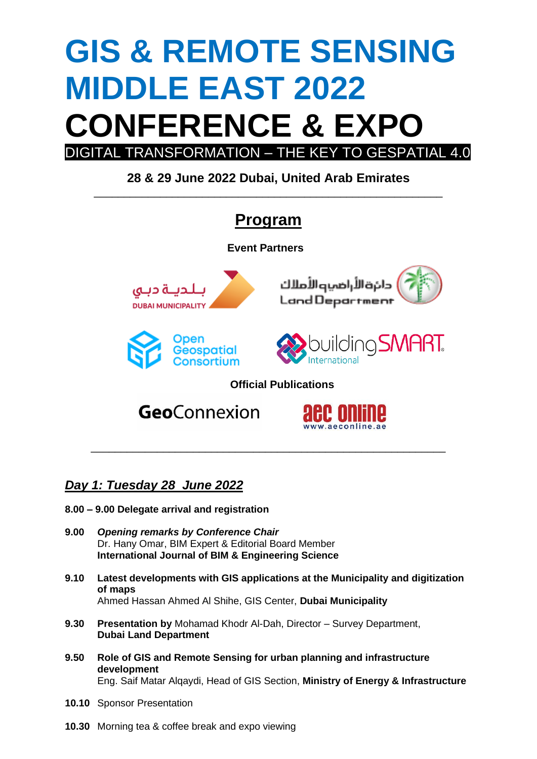# **GIS & REMOTE SENSING MIDDLE EAST 2022 CONFERENCE & EXPO** DIGITAL TRANSFORMATION – THE KEY TO GESPATIAL 4.0

**28 & 29 June 2022 Dubai, United Arab Emirates** \_\_\_\_\_\_\_\_\_\_\_\_\_\_\_\_\_\_\_\_\_\_\_\_\_\_\_\_\_\_\_\_\_\_\_\_\_\_\_\_\_\_\_\_\_\_\_\_\_\_\_\_\_\_\_\_\_\_

## **Program**

**Event Partners**



## *Day 1: Tuesday 28 June 2022*

- **8.00 – 9.00 Delegate arrival and registration**
- **9.00** *Opening remarks by Conference Chair* Dr. Hany Omar, BIM Expert & Editorial Board Member **International Journal of BIM & Engineering Science**
- **9.10 Latest developments with GIS applications at the Municipality and digitization of maps** Ahmed Hassan Ahmed Al Shihe, GIS Center, **Dubai Municipality**

\_\_\_\_\_\_\_\_\_\_\_\_\_\_\_\_\_\_\_\_\_\_\_\_\_\_\_\_\_\_\_\_\_\_\_\_\_\_\_\_\_\_\_\_\_\_\_\_\_\_\_\_\_\_\_\_\_\_\_

www.aeconline

- **9.30 Presentation by** Mohamad Khodr Al-Dah, Director Survey Department, **Dubai Land Department**
- **9.50 Role of GIS and Remote Sensing for urban planning and infrastructure development**

Eng. Saif Matar Alqaydi, Head of GIS Section, **Ministry of Energy & Infrastructure**

- **10.10** Sponsor Presentation
- **10.30** Morning tea & coffee break and expo viewing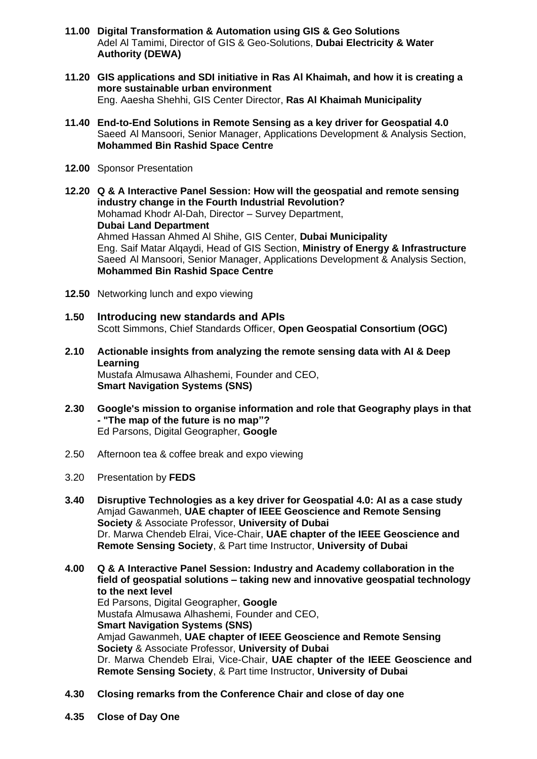- **11.00 Digital Transformation & Automation using GIS & Geo Solutions** Adel Al Tamimi, Director of GIS & Geo-Solutions, **Dubai Electricity & Water Authority (DEWA)**
- **11.20 GIS applications and SDI initiative in Ras Al Khaimah, and how it is creating a more sustainable urban environment** Eng. Aaesha Shehhi, GIS Center Director, **Ras Al Khaimah Municipality**
- **11.40 End-to-End Solutions in Remote Sensing as a key driver for Geospatial 4.0** Saeed Al Mansoori, Senior Manager, Applications Development & Analysis Section, **Mohammed Bin Rashid Space Centre**
- **12.00** Sponsor Presentation
- **12.20 Q & A Interactive Panel Session: How will the geospatial and remote sensing industry change in the Fourth Industrial Revolution?** Mohamad Khodr Al-Dah, Director – Survey Department, **Dubai Land Department** Ahmed Hassan Ahmed Al Shihe, GIS Center, **Dubai Municipality** Eng. Saif Matar Alqaydi, Head of GIS Section, **Ministry of Energy & Infrastructure** Saeed Al Mansoori, Senior Manager, Applications Development & Analysis Section, **Mohammed Bin Rashid Space Centre**
- **12.50** Networking lunch and expo viewing
- **1.50 Introducing new standards and APIs** Scott Simmons, Chief Standards Officer, **Open Geospatial Consortium (OGC)**
- **2.10 Actionable insights from analyzing the remote sensing data with AI & Deep Learning** Mustafa Almusawa Alhashemi, Founder and CEO, **Smart Navigation Systems (SNS)**
- **2.30 Google's mission to organise information and role that Geography plays in that - "The map of the future is no map"?** Ed Parsons, Digital Geographer, **Google**
- 2.50 Afternoon tea & coffee break and expo viewing
- 3.20 Presentation by **FEDS**
- **3.40 Disruptive Technologies as a key driver for Geospatial 4.0: AI as a case study** Amjad Gawanmeh, **UAE chapter of IEEE Geoscience and Remote Sensing Society** & Associate Professor, **University of Dubai** Dr. Marwa Chendeb Elrai, Vice-Chair, **UAE chapter of the IEEE Geoscience and Remote Sensing Society**, & Part time Instructor, **University of Dubai**
- **4.00 Q & A Interactive Panel Session: Industry and Academy collaboration in the field of geospatial solutions – taking new and innovative geospatial technology to the next level** Ed Parsons, Digital Geographer, **Google** Mustafa Almusawa Alhashemi, Founder and CEO, **Smart Navigation Systems (SNS)** Amjad Gawanmeh, **UAE chapter of IEEE Geoscience and Remote Sensing Society** & Associate Professor, **University of Dubai** Dr. Marwa Chendeb Elrai, Vice-Chair, **UAE chapter of the IEEE Geoscience and Remote Sensing Society**, & Part time Instructor, **University of Dubai**
- **4.30 Closing remarks from the Conference Chair and close of day one**
- **4.35 Close of Day One**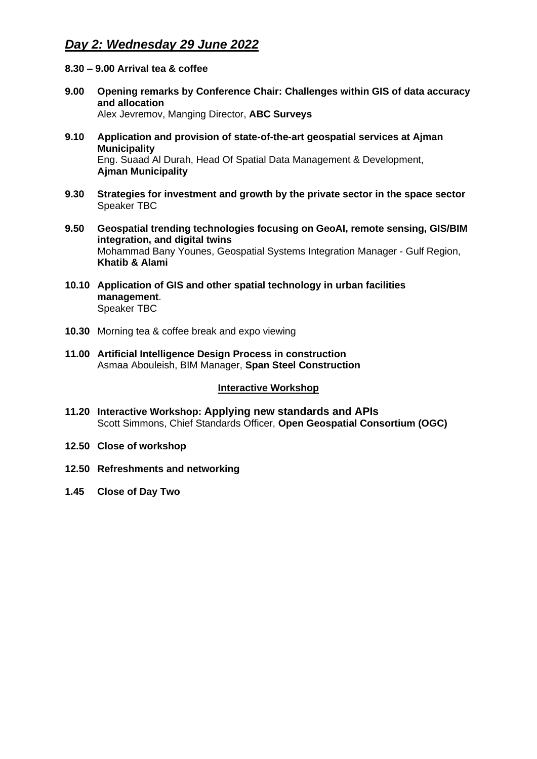### *Day 2: Wednesday 29 June 2022*

#### **8.30 – 9.00 Arrival tea & coffee**

- **9.00 Opening remarks by Conference Chair: Challenges within GIS of data accuracy and allocation** Alex Jevremov, Manging Director, **ABC Surveys**
- **9.10 Application and provision of state-of-the-art geospatial services at Ajman Municipality** Eng. Suaad Al Durah, Head Of Spatial Data Management & Development, **Ajman Municipality**
- **9.30 Strategies for investment and growth by the private sector in the space sector** Speaker TBC
- **9.50 Geospatial trending technologies focusing on GeoAI, remote sensing, GIS/BIM integration, and digital twins** Mohammad Bany Younes, Geospatial Systems Integration Manager - Gulf Region, **Khatib & Alami**
- **10.10 Application of GIS and other spatial technology in urban facilities management**. Speaker TBC
- **10.30** Morning tea & coffee break and expo viewing
- **11.00 Artificial Intelligence Design Process in construction** Asmaa Abouleish, BIM Manager, **Span Steel Construction**

#### **Interactive Workshop**

- **11.20 Interactive Workshop: Applying new standards and APIs** Scott Simmons, Chief Standards Officer, **Open Geospatial Consortium (OGC)**
- **12.50 Close of workshop**
- **12.50 Refreshments and networking**
- **1.45 Close of Day Two**